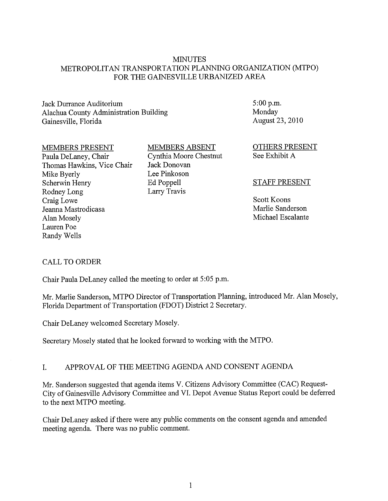### MINUTES METROPOLITAN TRANSPORTATION PLANNING ORGANIZATION (MTPO) FOR THE GAINESVILLE URBANIZED AREA

## Jack Durrance Auditorium Alachua County Administration Building Gainesville, Florida

#### MEMBERS PRESENT

Paula DeLaney, Chair Thomas Hawkins, Vice Chair Mike Byerly Scherwin Henry Rodney Long Craig Lowe Jeanna Mastrodicasa Alan Mosely Lauren Poe Randy Wells

## MEMBERS ABSENT

Cynthia Moore Chestnut Jack Donovan Lee Pinkoson Ed Poppell Larry Travis

 $5:00 p.m.$ Monday August 23,2010

OTHERS PRESENT See Exhibit A

#### STAFF PRESENT

Scott Koons Marlie Sanderson Michael Escalante

## CALL TO ORDER

Chair Paula DeLaney called the meeting to order at 5:05 p.m.

Mr. Marlie Sanderson, MTPO Director of Transportation Planning, introduced Mr. Alan Mosely, Florida Department of Transportation (FDOT) District 2 Secretary.

Chair DeLaney welcomed Secretary Mosely.

Secretary Mosely stated that he looked forward to working with the MTPO.

## I. APPROVAL OF THE MEETING AGENDA AND CONSENT AGENDA

Mr. Sanderson suggested that agenda items V. Citizens Advisory Committee (CAC) Request-City of Gainesville Advisory Committee and VI. Depot Avenue Status Report could be deferred to the next MTPO meeting.

Chair DeLaney asked if there were any public comments on the consent agenda and amended meeting agenda. There was no public comment.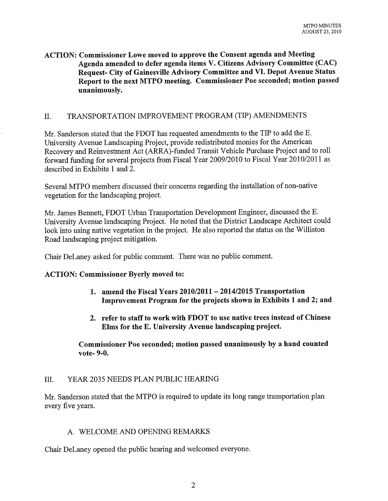## ACTION: Commissioner Lowe moved to approve the Consent agenda and Meeting Agenda amended to defer agenda items V. Citizens Advisory Committee (CAC) Request- City of Gainesville Advisory Committee and VI. Depot Avenue Status Report to the next MTPO meeting. Commissioner Poe seconded; motion passed unanimously.

## II. TRANSPORTATION IMPROVEMENT PROGRAM (TIP) AMENDMENTS

Mr. Sanderson stated that the FDOT has requested amendments to the TIP to add the E. University Avenue Landscaping Project, provide redistributed monies for the American Recovery and Reinvestment Act (ARRA)-funded Transit Vehicle Purchase Project and to roll forward funding for several projects from Fiscal Year 2009/2010 to Fiscal Year 2010/2011 as described in Exhibits 1 and 2.

Several MTPO members discussed their concerns regarding the installation of non-native vegetation for the landscaping project.

Mr. James Bennett, FDOT Urban Transportation Development Engineer, discussed the E. University Avenue landscaping Project. He noted that the District Landscape Architect could look into using native vegetation in the project. He also reported the status on the Williston Road landscaping project mitigation.

Chair DeLaney asked for public comment. There was no public comment.

#### ACTION: Commissioner Byerly moved to:

- 1. amend the Fiscal Years  $2010/2011 2014/2015$  Transportation Improvement Program for the projects shown in Exhibits 1 and 2; and
- 2. refer to staff to work with FDOT to use native trees instead of Chinese Elms for the E. University Avenue landscaping project.

Commissioner Poe seconded; motion passed unanimously by a hand counted vote- 9-0.

## III. YEAR 2035 NEEDS PLAN PUBLIC HEARING

Mr. Sanderson stated that the MTPO is required to update its long range transportation plan every five years.

## A. WELCOME AND OPENING REMARKS

Chair DeLaney opened the public hearing and welcomed everyone.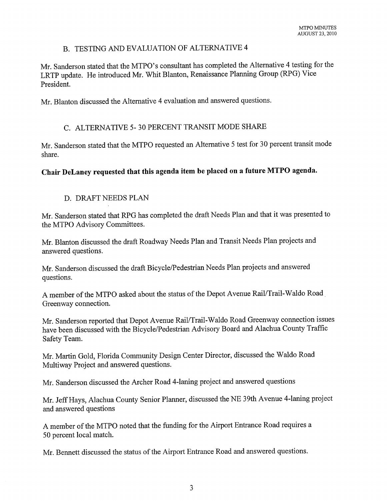## B. TESTING AND EVALUATION OF ALTERNATIVE 4

Mr. Sanderson stated that the MTPO's consultant has completed the Alternative 4 testing for the LRTP update. He introduced Mr. Whit Blanton, Renaissance Planning Group (RPG) Vice President.

Mr. Blanton discussed the Alternative 4 evaluation and answered questions.

## C. ALTERNATIVE 5- 30 PERCENT TRANSIT MODE SHARE

Mr. Sanderson stated that the MTPO requested an Alternative 5 test for 30 percent transit mode share.

## **Chair DeLaney requested that this agenda item be placed on a future MTPO agenda.**

## D. DRAFT NEEDS PLAN

Mr. Sanderson stated that RPG has completed the draft Needs Plan and that it was presented to the MTPO Advisory Committees.

Mr. Blanton discussed the draft Roadway Needs Plan and Transit Needs Plan projects and answered questions.

Mr. Sanderson discussed the draft Bicycle/Pedestrian Needs Plan projects and answered questions.

A member of the MTPO asked about the status of the Depot Avenue Rail/Trail-Waldo Road Greenway connection.

Mr. Sanderson reported that Depot Avenue Rail/Trail-Waldo Road Greenway connection issues have been discussed with the Bicycle/Pedestrian Advisory Board and Alachua County Traffic Safety Team.

Mr. Martin Gold, Florida Community Design Center Director, discussed the Waldo Road Multiway Project and answered questions.

Mr. Sanderson discussed the Archer Road 4-laning project and answered questions

Mr. Jeff Hays, Alachua County Senior Planner, discussed the NE 39th Avenue 4-laning project and answered questions

A member of the MTPO noted that the funding for the Airport Entrance Road requires a 50 percent local match.

Mr. Bennett discussed the status of the Airport Entrance Road and answered questions.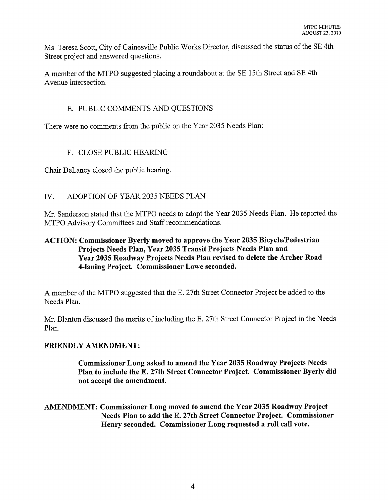Ms. Teresa Scott, City of Gainesville Public Works Director, discussed the status of the SE 4th Street project and answered questions.

A member of the MTPO suggested placing a roundabout at the SE 15th Street and SE 4th Avenue intersection.

## E. PUBLIC COMMENTS AND QUESTIONS

There were no comments from the public on the Year 2035 Needs Plan:

## F. CLOSE PUBLIC HEARING

Chair DeLaney closed the public hearing.

## IV. ADOPTION OF YEAR 2035 NEEDS PLAN

Mr. Sanderson stated that the MTPO needs to adopt the Year 2035 Needs Plan. He reported the MTPO Advisory Committees and Staff recommendations.

## ACTION: Commissioner Byerly moved to approve the Year 2035 Bicycle/Pedestrian Projects Needs Plan, Year 2035 Transit Projects Needs Plan and Year 2035 Roadway Projects Needs Plan revised to delete the Archer Road 4-laning Project. Commissioner Lowe seconded.

A member of the MTPO suggested that the E. 27th Street Connector Project be added to the Needs Plan.

Mr. Blanton discussed the merits of including the E. 27th Street Connector Project in the Needs Plan.

## FRIENDLY AMENDMENT:

Commissioner Long asked to amend the Year 2035 Roadway Projects Needs Plan to include the E. 27th Street Connector Project. Commissioner Byerly did not accept the amendment.

AMENDMENT: Commissioner Long moved to amend the Year 2035 Roadway Project Needs Plan to add the E. 27th Street Connector Project. Commissioner Henry seconded. Commissioner Long requested a roll call vote.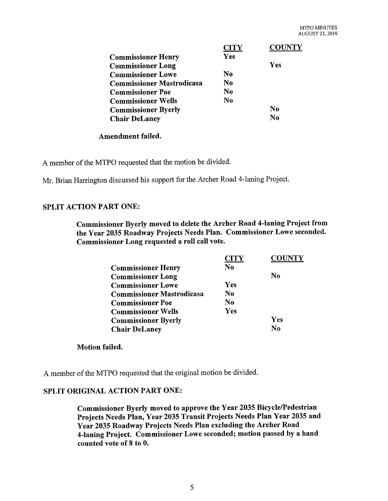|                                  | <b>CITY</b> | <b>COUNTY</b>  |
|----------------------------------|-------------|----------------|
| <b>Commissioner Henry</b>        | Yes         |                |
| <b>Commissioner Long</b>         |             | Yes            |
| <b>Commissioner Lowe</b>         | No          |                |
| <b>Commissioner Mastrodicasa</b> | N0          |                |
| <b>Commissioner Poe</b>          | $\bf No$    |                |
| <b>Commissioner Wells</b>        | No          |                |
| <b>Commissioner Byerly</b>       |             | N <sub>0</sub> |
| <b>Chair DeLaney</b>             |             | No             |

#### Amendment failed.

A member of the MTPO requested that the motion be divided.

Mr. Brian Harrington discussed his support for the Archer Road 4-laning Project.

## SPLIT ACTION PART ONE:

Commissioner Byerly moved to delete the Archer Road 4-laning Project from the Year 2035 Roadway Projects Needs Plan. Commissioner Lowe seconded. Commissioner Long requested a roll call vote.

|                                  | <b>CITY</b>    | <b>COUNTY</b>  |
|----------------------------------|----------------|----------------|
| <b>Commissioner Henry</b>        | N <sub>0</sub> |                |
| <b>Commissioner Long</b>         |                | N <sub>0</sub> |
| <b>Commissioner Lowe</b>         | Yes            |                |
| <b>Commissioner Mastrodicasa</b> | No             |                |
| <b>Commissioner Poe</b>          | N0             |                |
| <b>Commissioner Wells</b>        | Yes            |                |
| <b>Commissioner Byerly</b>       |                | Yes            |
| <b>Chair DeLaney</b>             |                | $\bf No$       |

#### Motion failed.

A member of the MTPO requested that the original motion be divided.

## SPLIT ORIGINAL ACTION PART ONE:

Commissioner Byerly moved to approve the Year 2035 Bicycle/Pedestrian Projects Needs Plan, Year 2035 Transit Projects Needs Plan Year 2035 and Year 2035 Roadway Projects Needs Plan excluding the Archer Road 4-laning Project. Commissioner Lowe seconded; motion passed by a hand counted vote of 8 to O.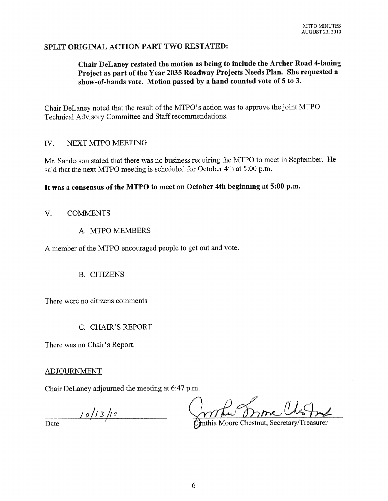## SPLIT ORIGINAL ACTION PART TWO RESTATED:

## Chair DeLaney restated the motion as being to include the Archer Road 4-laning Project as part of the Year 2035 Roadway Projects Needs Plan. She requested a show-of-hands vote. Motion passed by a hand counted vote of 5 to 3.

Chair DeLaney noted that the result of the MTPO's action was to approve the joint MTPO Technical Advisory Committee and Staff recommendations.

#### IV. NEXT MTPO MEETING

Mr. Sanderson stated that there was no business requiring the MTPO to meet in September. He said that the next MTPO meeting is scheduled for October 4th at 5:00 p.m.

## It was a consensus of the MTPO to meet on October 4th beginning at 5:00 p.m.

#### V. COMMENTS

A. MTPO MEMBERS

A member of the MTPO encouraged people to get out and vote.

#### B. CITIZENS

There were no citizens comments

#### C. CHAIR'S REPORT

There was no Chair's Report.

#### ADJOURNMENT

Chair DeLaney adjourned the meeting at 6:47 p.m.

 $\frac{10}{13}$  note  $\frac{10}{13}$  ne  $\frac{10}{13}$  ne  $\frac{10}{13}$  ne  $\frac{10}{13}$  ne  $\frac{10}{13}$  ne  $\frac{10}{13}$  ne  $\frac{10}{13}$  ne  $\frac{10}{13}$  ne  $\frac{10}{13}$  ne  $\frac{10}{13}$  ne  $\frac{10}{13}$  ne  $\frac{10}{13}$  ne  $\frac{10}{13}$  ne  $\frac{10}{13$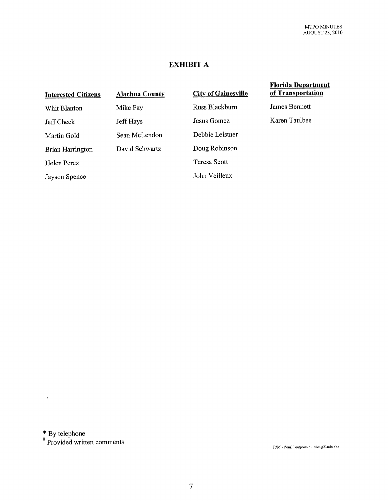## **EXHIBIT A**

| <b>Interested Citizens</b> | <b>Alachua County</b> | <b>City of Gainesville</b> | <b>Florida Department</b><br>of Transportation |
|----------------------------|-----------------------|----------------------------|------------------------------------------------|
| Whit Blanton               | Mike Fay              | Russ Blackburn             | James Bennett                                  |
| Jeff Cheek                 | Jeff Hays             | Jesus Gomez                | Karen Taulbee                                  |
| Martin Gold                | Sean McLendon         | Debbie Leistner            |                                                |
| Brian Harrington           | David Schwartz        | Doug Robinson              |                                                |
| Helen Perez                |                       | Teresa Scott               |                                                |
| Jayson Spence              |                       | John Veilleux              |                                                |

\* By telephone

 $\mathcal{A}^{\text{max}}$  and  $\mathcal{A}^{\text{max}}$ 

# Provided written comments

T:\Mike\em11\mtpo\minutes\aug23min.doc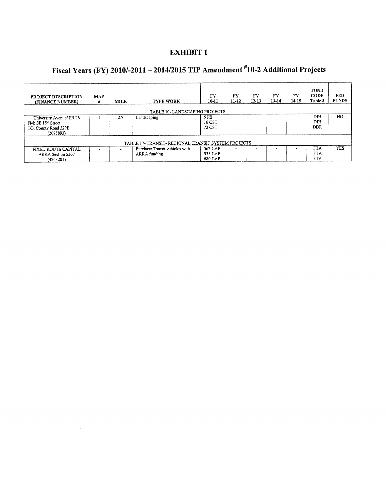## **EXHIBIT 1**

# **Fiscal Years (FY) 2010/-2011 - 2014/2015 TIP Amendment #10-2 Additional Projects**

| <b>PROJECT DESCRIPTION</b><br>(FINANCE NUMBER)                                                  | <b>MAP</b><br># | MILE | <b>TYPE WORK</b>                               | FY<br>$10 - 11$               | FY<br>11-12 | FY<br>$12 - 13$ | FY<br>$13 - 14$ | FY<br>$14-15$ | <b>FUND</b><br><b>CODE</b><br>Table 3  | <b>FED</b><br><b>FUNDS</b> |
|-------------------------------------------------------------------------------------------------|-----------------|------|------------------------------------------------|-------------------------------|-------------|-----------------|-----------------|---------------|----------------------------------------|----------------------------|
| TABLE 10- LANDSCAPING PROJECTS                                                                  |                 |      |                                                |                               |             |                 |                 |               |                                        |                            |
| University Avenue/ SR 26<br>FM: SE 15 <sup>th</sup> Street<br>TO: County Road 329B<br>(2075893) |                 | 2.7  | Landscaping                                    | 5 PE<br>16 CST<br>72 CST      |             |                 |                 |               | DIH<br>DIH<br><b>DDR</b>               | NO.                        |
| TABLE 17- TRANSIT- REGIONAL TRANSIT SYSTEM PROJECTS                                             |                 |      |                                                |                               |             |                 |                 |               |                                        |                            |
| FIXED ROUTE CAPITAL<br>ARRA Section 5307<br>(4263201)                                           |                 |      | Purchase Transit vehicles with<br>ARRA funding | 562 CAP<br>335 CAP<br>680 CAP |             |                 |                 |               | <b>FTA</b><br><b>FTA</b><br><b>FTA</b> | <b>YES</b>                 |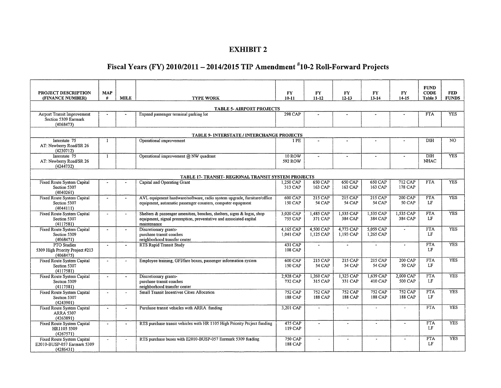#### EXHIBIT 2

# Fiscal Years (FY) *2010/2011- 2014/2015* TIP Amendment #10-2 Roll-Forward Projects

|                                                                        |                                                   |                       |                                                                                  |                          |                        |                             |                          |                          | <b>FUND</b>                    |                            |
|------------------------------------------------------------------------|---------------------------------------------------|-----------------------|----------------------------------------------------------------------------------|--------------------------|------------------------|-----------------------------|--------------------------|--------------------------|--------------------------------|----------------------------|
| PROJECT DESCRIPTION<br>(FINANCE NUMBER)                                | <b>MAP</b><br>#                                   | <b>MILE</b>           | <b>TYPE WORK</b>                                                                 | <b>FY</b><br>$10 - 11$   | <b>FY</b><br>$11 - 12$ | FY <sub></sub><br>$12 - 13$ | <b>FY</b><br>$13 - 14$   | <b>FY</b><br>14-15       | <b>CODE</b><br>Table 3         | <b>FED</b><br><b>FUNDS</b> |
|                                                                        |                                                   |                       |                                                                                  |                          |                        |                             |                          |                          |                                |                            |
|                                                                        |                                                   |                       | <b>TABLE 5- AIRPORT PROJECTS</b>                                                 |                          |                        |                             |                          |                          |                                | <b>YES</b>                 |
| Airport Transit Improvement<br>Section 5309 Earmark<br>(4068473)       |                                                   |                       | Expand passenger terminal parking lot                                            | <b>298 CAP</b>           |                        |                             | $\overline{\phantom{a}}$ |                          | <b>FTA</b>                     |                            |
|                                                                        | <b>TABLE 9- INTERSTATE / INTERCHANGE PROJECTS</b> |                       |                                                                                  |                          |                        |                             |                          |                          |                                |                            |
| Interstate 75<br>AT: Newberry Road/SR 26<br>(4230712)                  | -1                                                |                       | Operational improvement                                                          | 1 PE                     |                        |                             |                          |                          | DIH                            | NO.                        |
| Interstate 75<br>AT: Newberry Road/SR 26<br>(4244732)                  | $\mathbf{1}$                                      |                       | Operational improvement @ NW quadrant                                            | <b>10 ROW</b><br>592 ROW | $\ddot{\phantom{1}}$   |                             | $\ddot{\phantom{1}}$     | $\overline{\phantom{a}}$ | $\overline{DH}$<br><b>NHAC</b> | <b>YES</b>                 |
|                                                                        |                                                   |                       | TABLE 17- TRANSIT- REGIONAL TRANSIT SYSTEM PROJECTS                              |                          |                        |                             |                          |                          |                                |                            |
| Fixed Route System Capital                                             |                                                   |                       | Capital and Operating Grant                                                      | 1,250 CAP                | 650 CAP                | 650 CAP                     | 650 CAP                  | 712 CAP                  | <b>FTA</b>                     | <b>YES</b>                 |
| Section 5307<br>(4040261)                                              |                                                   |                       |                                                                                  | 313 CAP                  | 163 CAP                | 163 CAP                     | 163 CAP                  | 178 CAP                  |                                |                            |
| <b>Fixed Route System Capital</b>                                      | $\sim$                                            | $\tilde{\phantom{a}}$ | AVL equipment hardware/software, radio system upgrade, furniture/office          | <b>600 CAP</b>           | $215$ CAP              | <b>215 CAP</b>              | 215 CAP                  | $200$ CAP                | <b>FTA</b>                     | <b>YES</b>                 |
| Section 5307<br>(4044111)                                              |                                                   |                       | equipment, automatic passenger counters, computer equipment                      | 150 CAP                  | <b>54 CAP</b>          | 54 CAP                      | <b>54 CAP</b>            | 50 CAP                   | LF                             |                            |
| Fixed Route System Capital                                             | $\ddot{\phantom{1}}$                              |                       | Shelters & passenger amenities, benches, shelters, signs & logos, shop           | 3,020 CAP                | 1,485 CAP              | 1,535 CAP                   | 1,535 CAP                | 1,535 CAP                | <b>FTA</b>                     | <b>YES</b>                 |
| Section 5307<br>(4117581)                                              |                                                   |                       | equipment, signal preemption, preventative and associated capital<br>maintenance | 755 CAP                  | 371 CAP                | 384 CAP                     | 384 CAP                  | 384 CAP                  | LF                             |                            |
| Fixed Route System Capital                                             | $\tilde{\phantom{a}}$                             | $\ddot{\phantom{a}}$  | Discretionary grants-                                                            | 4.165 CAP                | 4,500 CAP              | 4,773 CAP                   | 5,059 CAP                | $\sim$                   | <b>FTA</b>                     | <b>YES</b>                 |
| Section 5309<br>(4068471)                                              |                                                   |                       | purchase transit coaches<br>neighborhood transfer center                         | 1,041 CAP                | 1.125 CAP              | 1,193 CAP                   | 1,265 CAP                |                          | LF                             |                            |
| PTO Studies<br>5309 High Priority Project #213<br>(4068475)            | $\sim$                                            | $\blacksquare$        | <b>RTS Rapid Transit Study</b>                                                   | 431 CAP<br>108 CAP       | $\sim$                 | $\ddot{\phantom{1}}$        | $\mathbf{r}$             | $\Delta$                 | <b>FTA</b><br>LF               | <b>YES</b>                 |
| Fixed Route System Capital                                             | $\sim$                                            |                       | Employee training, GFI/fare boxes, passenger information system                  | <b>600 CAP</b>           | 215 CAP                | 215 CAP                     | 215 CAP                  | 200 CAP                  | <b>FTA</b>                     | <b>YES</b>                 |
| Section 5307<br>(4117581)                                              |                                                   |                       |                                                                                  | 150 CAP                  | <b>54 CAP</b>          | <b>54 CAP</b>               | 54 CAP                   | 50 CAP                   | LF                             |                            |
| Fixed Route System Capital                                             | $\overline{\phantom{a}}$                          |                       | Discretionary grants-                                                            | 2,928 CAP                | 1,260 CAP              | 1,323 CAP                   | 1,639 CAP                | 2,000 CAP                | <b>FTA</b>                     | <b>YES</b>                 |
| Section 5309                                                           |                                                   |                       | purchase transit coaches                                                         | 732 CAP                  | 315 CAP                | 331 CAP                     | 410 CAP                  | 500 CAP                  | LF                             |                            |
| (4117581)                                                              | $\ddot{\phantom{a}}$                              | $\overline{a}$        | neighborhood transfer center<br>Small Transit Incentives Cities Allocation       | <b>752 CAP</b>           | <b>752 CAP</b>         | 752 CAP                     | <b>752 CAP</b>           | <b>752 CAP</b>           | <b>FTA</b>                     | <b>YES</b>                 |
| <b>Fixed Route System Capital</b><br>Section 5307<br>(4243901)         |                                                   |                       |                                                                                  | 188 CAP                  | 188 CAP                | 188 CAP                     | 188 CAP                  | 188 CAP                  | LF                             |                            |
| Fixed Route System Capital<br><b>ARRA 5307</b><br>(4263891)            | $\blacksquare$                                    |                       | Purchase transit vehicles with ARRA funding                                      | 3,201 CAP                | $\sim$                 | $\overline{\phantom{a}}$    | $\sim$                   | $\sim$                   | <b>FTA</b>                     | <b>YES</b>                 |
| Fixed Route System Capital<br>HR1105 5309<br>(4267571)                 | $\ddot{\phantom{1}}$                              | $\blacksquare$        | RTS purchase transit vehicles with HR 1105 High Priority Project funding         | $475$ CAP<br>119 CAP     | $\overline{a}$         | $\overline{a}$              | $\overline{a}$           | $\overline{a}$           | <b>FTA</b><br>LF               | <b>YES</b>                 |
| Fixed Route System Capital<br>E2010-BUSP-057 Earmark 5309<br>(4286431) | $\ddot{\phantom{a}}$                              |                       | RTS purchase buses with E2010-BUSP-057 Earmark 5309 funding                      | 750 CAP<br>188 CAP       | $\overline{a}$         | $\bullet$                   | $\tilde{\phantom{a}}$    | $\blacksquare$           | <b>FTA</b><br>LF               | <b>YES</b>                 |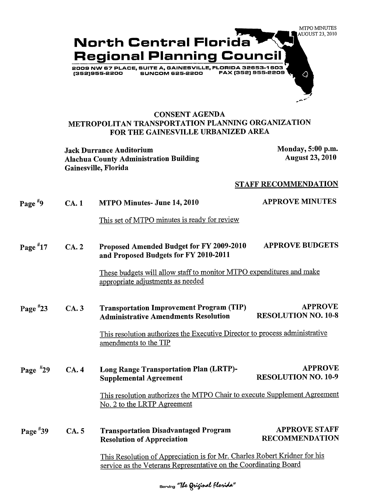

### **CONS.ENT AGENDA METROPOLITAN TRANSPORTATION PLANNING ORGANIZATION FOR THE GAINESVILLE URBANIZED AREA**

**Jack Durrance Auditorium Monday, 5:00 p.m. Alachua County Administration Building Gainesville, Florida** 

**August 23, 2010** 

#### **STAFF RECOMMENDATION**

| Page $*9$  | CA.1         | MTPO Minutes- June 14, 2010                                                                               | <b>APPROVE MINUTES</b>                        |
|------------|--------------|-----------------------------------------------------------------------------------------------------------|-----------------------------------------------|
|            |              | This set of MTPO minutes is ready for review                                                              |                                               |
| Page $*17$ | CA.2         | Proposed Amended Budget for FY 2009-2010<br>and Proposed Budgets for FY 2010-2011                         | <b>APPROVE BUDGETS</b>                        |
|            |              | These budgets will allow staff to monitor MTPO expenditures and make<br>appropriate adjustments as needed |                                               |
| Page $*23$ | CA.3         | <b>Transportation Improvement Program (TIP)</b><br><b>Administrative Amendments Resolution</b>            | <b>APPROVE</b><br><b>RESOLUTION NO. 10-8</b>  |
|            |              | This resolution authorizes the Executive Director to process administrative<br>amendments to the TIP      |                                               |
| Page $*29$ | <b>CA.</b> 4 | Long Range Transportation Plan (LRTP)-<br><b>Supplemental Agreement</b>                                   | <b>APPROVE</b><br><b>RESOLUTION NO. 10-9</b>  |
|            |              | This resolution authorizes the MTPO Chair to execute Supplement Agreement<br>No. 2 to the LRTP Agreement  |                                               |
| Page $*39$ | CA.5         | <b>Transportation Disadvantaged Program</b><br><b>Resolution of Appreciation</b>                          | <b>APPROVE STAFF</b><br><b>RECOMMENDATION</b> |
|            |              | This Resolution of Appreciation is for Mr. Charles Robert Kridner for his                                 |                                               |
|            |              | service as the Veterans Representative on the Coordinating Board                                          |                                               |

Serving **"The Grifinal Florida"**